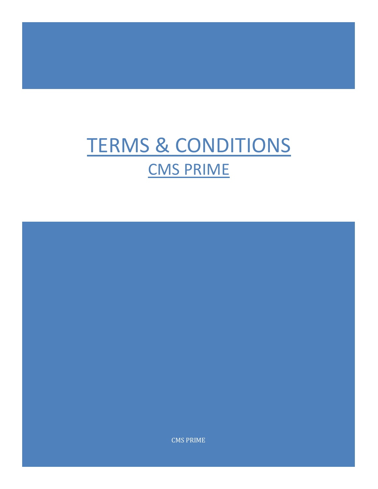# TERMS & CONDITIONS CMS PRIME

CMS PRIME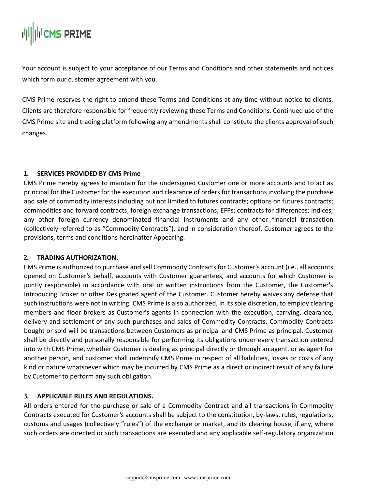Your account is subject to your acceptance of our Terms and Conditions and other statements and notices which form our customer agreement with you.

CMS Prime reserves the right to amend these Terms and Conditions at any time without notice to clients. Clients are therefore responsible for frequently reviewing these Terms and Conditions. Continued use of the CMS Prime site and trading platform following any amendments shall constitute the clients approval of such changes.

# **1. SERVICES PROVIDED BY CMS Prime**

CMS Prime hereby agrees to maintain for the undersigned Customer one or more accounts and to act as principal for the Customer for the execution and clearance of orders for transactions involving the purchase and sale of commodity interests including but not limited to futures contracts; options on futures contracts; commodities and forward contracts; foreign exchange transactions; EFPs; contracts for differences; Indices; any other foreign currency denominated financial instruments and any other financial transaction (collectively referred to as "Commodity Contracts"), and in consideration thereof, Customer agrees to the provisions, terms and conditions hereinafter Appearing.

### **2. TRADING AUTHORIZATION.**

CMS Prime is authorized to purchase and sell Commodity Contracts for Customer's account (i.e., all accounts opened on Customer's behalf, accounts with Customer guarantees, and accounts for which Customer is jointly responsible) in accordance with oral or written instructions from the Customer, the Customer's Introducing Broker or other Designated agent of the Customer. Customer hereby waives any defense that such instructions were not in writing. CMS Prime is also authorized, in its sole discretion, to employ clearing members and floor brokers as Customer's agents in connection with the execution, carrying, clearance, delivery and settlement of any such purchases and sales of Commodity Contracts. Commodity Contracts bought or sold will be transactions between Customers as principal and CMS Prime as principal. Customer shall be directly and personally responsible for performing its obligations under every transaction entered into with CMS Prime, whether Customer is dealing as principal directly or through an agent, or as agent for another person, and customer shall indemnify CMS Prime in respect of all liabilities, losses or costs of any kind or nature whatsoever which may be incurred by CMS Prime as a direct or indirect result of any failure by Customer to perform any such obligation.

# **3. APPLICABLE RULES AND REGULATIONS.**

All orders entered for the purchase or sale of a Commodity Contract and all transactions in Commodity Contracts executed for Customer's accounts shall be subject to the constitution, by-laws, rules, regulations, customs and usages (collectively "rules") of the exchange or market, and its clearing house, if any, where such orders are directed or such transactions are executed and any applicable self-regulatory organization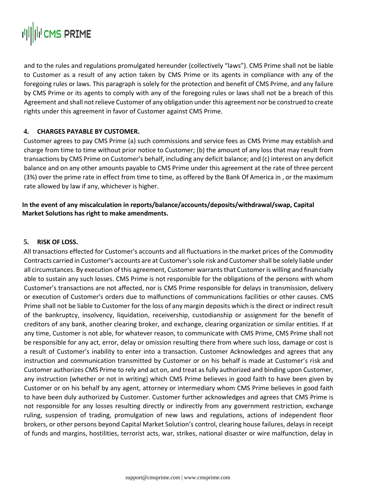

and to the rules and regulations promulgated hereunder (collectively "laws"). CMS Prime shall not be liable to Customer as a result of any action taken by CMS Prime or its agents in compliance with any of the foregoing rules or laws. This paragraph is solely for the protection and benefit of CMS Prime, and any failure by CMS Prime or its agents to comply with any of the foregoing rules or laws shall not be a breach of this Agreement and shall not relieve Customer of any obligation under this agreement nor be construed to create rights under this agreement in favor of Customer against CMS Prime.

#### **4. CHARGES PAYABLE BY CUSTOMER.**

Customer agrees to pay CMS Prime (a) such commissions and service fees as CMS Prime may establish and charge from time to time without prior notice to Customer; (b) the amount of any loss that may result from transactions by CMS Prime on Customer's behalf, including any deficit balance; and (c) interest on any deficit balance and on any other amounts payable to CMS Prime under this agreement at the rate of three percent (3%) over the prime rate in effect from time to time, as offered by the Bank Of America in , or the maximum rate allowed by law if any, whichever is higher.

## **In the event of any miscalculation in reports/balance/accounts/deposits/withdrawal/swap, Capital Market Solutions has right to make amendments.**

#### **5. RISK OF LOSS.**

All transactions effected for Customer's accounts and all fluctuations in the market prices of the Commodity Contracts carried in Customer's accounts are at Customer's sole risk and Customer shall be solely liable under all circumstances. By execution of this agreement, Customer warrants that Customer is willing and financially able to sustain any such losses. CMS Prime is not responsible for the obligations of the persons with whom Customer's transactions are not affected, nor is CMS Prime responsible for delays in transmission, delivery or execution of Customer's orders due to malfunctions of communications facilities or other causes. CMS Prime shall not be liable to Customer for the loss of any margin deposits which is the direct or indirect result of the bankruptcy, insolvency, liquidation, receivership, custodianship or assignment for the benefit of creditors of any bank, another clearing broker, and exchange, clearing organization or similar entities. If at any time, Customer is not able, for whatever reason, to communicate with CMS Prime, CMS Prime shall not be responsible for any act, error, delay or omission resulting there from where such loss, damage or cost is a result of Customer's inability to enter into a transaction. Customer Acknowledges and agrees that any instruction and communication transmitted by Customer or on his behalf is made at Customer's risk and Customer authorizes CMS Prime to rely and act on, and treat as fully authorized and binding upon Customer, any instruction (whether or not in writing) which CMS Prime believes in good faith to have been given by Customer or on his behalf by any agent, attorney or intermediary whom CMS Prime believes in good faith to have been duly authorized by Customer. Customer further acknowledges and agrees that CMS Prime is not responsible for any losses resulting directly or indirectly from any government restriction, exchange ruling, suspension of trading, promulgation of new laws and regulations, actions of independent floor brokers, or other persons beyond Capital Market Solution's control, clearing house failures, delays in receipt of funds and margins, hostilities, terrorist acts, war, strikes, national disaster or wire malfunction, delay in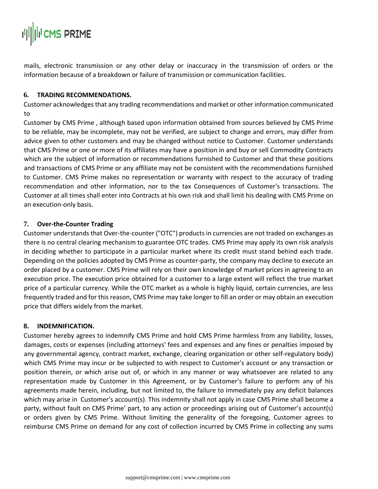

mails, electronic transmission or any other delay or inaccuracy in the transmission of orders or the information because of a breakdown or failure of transmission or communication facilities.

#### **6. TRADING RECOMMENDATIONS.**

Customer acknowledges that any trading recommendations and market or other information communicated to

Customer by CMS Prime , although based upon information obtained from sources believed by CMS Prime to be reliable, may be incomplete, may not be verified, are subject to change and errors, may differ from advice given to other customers and may be changed without notice to Customer. Customer understands that CMS Prime or one or more of its affiliates may have a position in and buy or sell Commodity Contracts which are the subject of information or recommendations furnished to Customer and that these positions and transactions of CMS Prime or any affiliate may not be consistent with the recommendations furnished to Customer. CMS Prime makes no representation or warranty with respect to the accuracy of trading recommendation and other information, nor to the tax Consequences of Customer's transactions. The Customer at all times shall enter into Contracts at his own risk and shall limit his dealing with CMS Prime on an execution-only basis.

### **7. Over-the-Counter Trading**

Customer understands that Over-the-counter ("OTC") products in currencies are not traded on exchanges as there is no central clearing mechanism to guarantee OTC trades. CMS Prime may apply its own risk analysis in deciding whether to participate in a particular market where its credit must stand behind each trade. Depending on the policies adopted by CMS Prime as counter-party, the company may decline to execute an order placed by a customer. CMS Prime will rely on their own knowledge of market prices in agreeing to an execution price. The execution price obtained for a customer to a large extent will reflect the true market price of a particular currency. While the OTC market as a whole is highly liquid, certain currencies, are less frequently traded and for this reason, CMS Prime may take longer to fill an order or may obtain an execution price that differs widely from the market.

### **8. INDEMNIFICATION.**

Customer hereby agrees to indemnify CMS Prime and hold CMS Prime harmless from any liability, losses, damages, costs or expenses (including attorneys' fees and expenses and any fines or penalties imposed by any governmental agency, contract market, exchange, clearing organization or other self-regulatory body) which CMS Prime may incur or be subjected to with respect to Customer's account or any transaction or position therein, or which arise out of, or which in any manner or way whatsoever are related to any representation made by Customer in this Agreement, or by Customer's failure to perform any of his agreements made herein, including, but not limited to, the failure to immediately pay any deficit balances which may arise in Customer's account(s). This indemnity shall not apply in case CMS Prime shall become a party, without fault on CMS Prime' part, to any action or proceedings arising out of Customer's account(s) or orders given by CMS Prime. Without limiting the generality of the foregoing, Customer agrees to reimburse CMS Prime on demand for any cost of collection incurred by CMS Prime in collecting any sums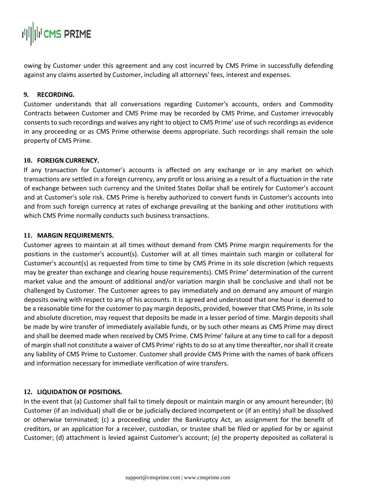owing by Customer under this agreement and any cost incurred by CMS Prime in successfully defending against any claims asserted by Customer, including all attorneys' fees, interest and expenses.

### **9. RECORDING.**

Customer understands that all conversations regarding Customer's accounts, orders and Commodity Contracts between Customer and CMS Prime may be recorded by CMS Prime, and Customer irrevocably consents to such recordings and waives any right to object to CMS Prime' use of such recordings as evidence in any proceeding or as CMS Prime otherwise deems appropriate. Such recordings shall remain the sole property of CMS Prime.

#### **10. FOREIGN CURRENCY.**

If any transaction for Customer's accounts is affected on any exchange or in any market on which transactions are settled in a foreign currency, any profit or loss arising as a result of a fluctuation in the rate of exchange between such currency and the United States Dollar shall be entirely for Customer's account and at Customer's sole risk. CMS Prime is hereby authorized to convert funds in Customer's accounts into and from such foreign currency at rates of exchange prevailing at the banking and other institutions with which CMS Prime normally conducts such business transactions.

#### **11. MARGIN REQUIREMENTS.**

Customer agrees to maintain at all times without demand from CMS Prime margin requirements for the positions in the customer's account(s). Customer will at all times maintain such margin or collateral for Customer's account(s) as requested from time to time by CMS Prime in its sole discretion (which requests may be greater than exchange and clearing house requirements). CMS Prime' determination of the current market value and the amount of additional and/or variation margin shall be conclusive and shall not be challenged by Customer. The Customer agrees to pay immediately and on demand any amount of margin deposits owing with respect to any of his accounts. It is agreed and understood that one hour is deemed to be a reasonable time for the customer to pay margin deposits, provided, however that CMS Prime, in its sole and absolute discretion, may request that deposits be made in a lesser period of time. Margin deposits shall be made by wire transfer of immediately available funds, or by such other means as CMS Prime may direct and shall be deemed made when received by CMS Prime. CMS Prime' failure at any time to call for a deposit of margin shall not constitute a waiver of CMS Prime' rights to do so at any time thereafter, nor shall it create any liability of CMS Prime to Customer. Customer shall provide CMS Prime with the names of bank officers and information necessary for immediate verification of wire transfers.

### **12. LIQUIDATION OF POSITIONS.**

In the event that (a) Customer shall fail to timely deposit or maintain margin or any amount hereunder; (b) Customer (if an individual) shall die or be judicially declared incompetent or (if an entity) shall be dissolved or otherwise terminated; (c) a proceeding under the Bankruptcy Act, an assignment for the benefit of creditors, or an application for a receiver, custodian, or trustee shall be filed or applied for by or against Customer; (d) attachment is levied against Customer's account; (e) the property deposited as collateral is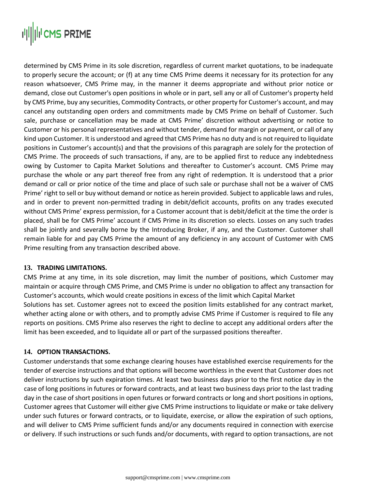# **||||||||II CMS PRIME**

determined by CMS Prime in its sole discretion, regardless of current market quotations, to be inadequate to properly secure the account; or (f) at any time CMS Prime deems it necessary for its protection for any reason whatsoever, CMS Prime may, in the manner it deems appropriate and without prior notice or demand, close out Customer's open positions in whole or in part, sell any or all of Customer's property held by CMS Prime, buy any securities, Commodity Contracts, or other property for Customer's account, and may cancel any outstanding open orders and commitments made by CMS Prime on behalf of Customer. Such sale, purchase or cancellation may be made at CMS Prime' discretion without advertising or notice to Customer or his personal representatives and without tender, demand for margin or payment, or call of any kind upon Customer. It is understood and agreed that CMS Prime has no duty and is not required to liquidate positions in Customer's account(s) and that the provisions of this paragraph are solely for the protection of CMS Prime. The proceeds of such transactions, if any, are to be applied first to reduce any indebtedness owing by Customer to Capita Market Solutions and thereafter to Customer's account. CMS Prime may purchase the whole or any part thereof free from any right of redemption. It is understood that a prior demand or call or prior notice of the time and place of such sale or purchase shall not be a waiver of CMS Prime' right to sell or buy without demand or notice as herein provided. Subject to applicable laws and rules, and in order to prevent non-permitted trading in debit/deficit accounts, profits on any trades executed without CMS Prime' express permission, for a Customer account that is debit/deficit at the time the order is placed, shall be for CMS Prime' account if CMS Prime in its discretion so elects. Losses on any such trades shall be jointly and severally borne by the Introducing Broker, if any, and the Customer. Customer shall remain liable for and pay CMS Prime the amount of any deficiency in any account of Customer with CMS Prime resulting from any transaction described above.

### **13. TRADING LIMITATIONS.**

CMS Prime at any time, in its sole discretion, may limit the number of positions, which Customer may maintain or acquire through CMS Prime, and CMS Prime is under no obligation to affect any transaction for Customer's accounts, which would create positions in excess of the limit which Capital Market Solutions has set. Customer agrees not to exceed the position limits established for any contract market, whether acting alone or with others, and to promptly advise CMS Prime if Customer is required to file any reports on positions. CMS Prime also reserves the right to decline to accept any additional orders after the limit has been exceeded, and to liquidate all or part of the surpassed positions thereafter.

### **14. OPTION TRANSACTIONS.**

Customer understands that some exchange clearing houses have established exercise requirements for the tender of exercise instructions and that options will become worthless in the event that Customer does not deliver instructions by such expiration times. At least two business days prior to the first notice day in the case of long positions in futures or forward contracts, and at least two business days prior to the last trading day in the case of short positions in open futures or forward contracts or long and short positions in options, Customer agrees that Customer will either give CMS Prime instructions to liquidate or make or take delivery under such futures or forward contracts, or to liquidate, exercise, or allow the expiration of such options, and will deliver to CMS Prime sufficient funds and/or any documents required in connection with exercise or delivery. If such instructions or such funds and/or documents, with regard to option transactions, are not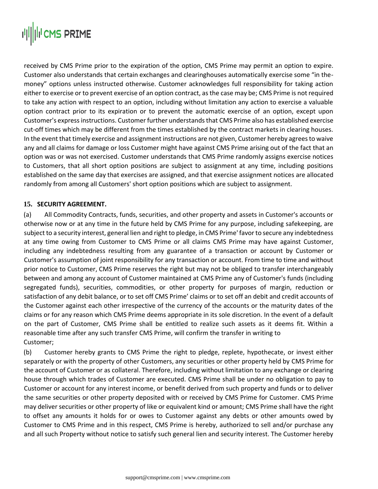# **||||||||II CMS PRIME**

received by CMS Prime prior to the expiration of the option, CMS Prime may permit an option to expire. Customer also understands that certain exchanges and clearinghouses automatically exercise some "in themoney" options unless instructed otherwise. Customer acknowledges full responsibility for taking action either to exercise or to prevent exercise of an option contract, as the case may be; CMS Prime is not required to take any action with respect to an option, including without limitation any action to exercise a valuable option contract prior to its expiration or to prevent the automatic exercise of an option, except upon Customer's express instructions. Customer further understands that CMS Prime also has established exercise cut-off times which may be different from the times established by the contract markets in clearing houses. In the event that timely exercise and assignment instructions are not given, Customer hereby agrees to waive any and all claims for damage or loss Customer might have against CMS Prime arising out of the fact that an option was or was not exercised. Customer understands that CMS Prime randomly assigns exercise notices to Customers, that all short option positions are subject to assignment at any time, including positions established on the same day that exercises are assigned, and that exercise assignment notices are allocated randomly from among all Customers' short option positions which are subject to assignment.

# **15. SECURITY AGREEMENT.**

(a) All Commodity Contracts, funds, securities, and other property and assets in Customer's accounts or otherwise now or at any time in the future held by CMS Prime for any purpose, including safekeeping, are subject to a security interest, general lien and right to pledge, in CMS Prime' favor to secure any indebtedness at any time owing from Customer to CMS Prime or all claims CMS Prime may have against Customer, including any indebtedness resulting from any guarantee of a transaction or account by Customer or Customer's assumption of joint responsibility for any transaction or account. From time to time and without prior notice to Customer, CMS Prime reserves the right but may not be obliged to transfer interchangeably between and among any account of Customer maintained at CMS Prime any of Customer's funds (including segregated funds), securities, commodities, or other property for purposes of margin, reduction or satisfaction of any debit balance, or to set off CMS Prime' claims or to set off an debit and credit accounts of the Customer against each other irrespective of the currency of the accounts or the maturity dates of the claims or for any reason which CMS Prime deems appropriate in its sole discretion. In the event of a default on the part of Customer, CMS Prime shall be entitled to realize such assets as it deems fit. Within a reasonable time after any such transfer CMS Prime, will confirm the transfer in writing to Customer;

(b) Customer hereby grants to CMS Prime the right to pledge, replete, hypothecate, or invest either separately or with the property of other Customers, any securities or other property held by CMS Prime for the account of Customer or as collateral. Therefore, including without limitation to any exchange or clearing house through which trades of Customer are executed. CMS Prime shall be under no obligation to pay to Customer or account for any interest income, or benefit derived from such property and funds or to deliver the same securities or other property deposited with or received by CMS Prime for Customer. CMS Prime may deliver securities or other property of like or equivalent kind or amount; CMS Prime shall have the right to offset any amounts it holds for or owes to Customer against any debts or other amounts owed by Customer to CMS Prime and in this respect, CMS Prime is hereby, authorized to sell and/or purchase any and all such Property without notice to satisfy such general lien and security interest. The Customer hereby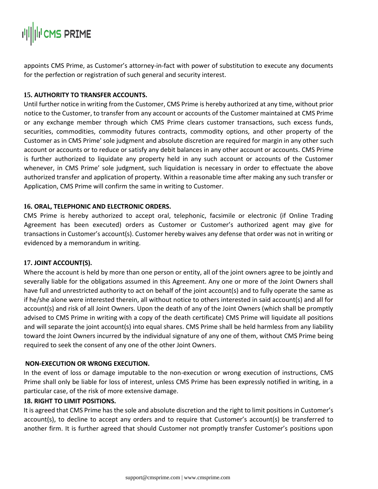appoints CMS Prime, as Customer's attorney-in-fact with power of substitution to execute any documents for the perfection or registration of such general and security interest.

# **15. AUTHORITY TO TRANSFER ACCOUNTS.**

Until further notice in writing from the Customer, CMS Prime is hereby authorized at any time, without prior notice to the Customer, to transfer from any account or accounts of the Customer maintained at CMS Prime or any exchange member through which CMS Prime clears customer transactions, such excess funds, securities, commodities, commodity futures contracts, commodity options, and other property of the Customer as in CMS Prime' sole judgment and absolute discretion are required for margin in any other such account or accounts or to reduce or satisfy any debit balances in any other account or accounts. CMS Prime is further authorized to liquidate any property held in any such account or accounts of the Customer whenever, in CMS Prime' sole judgment, such liquidation is necessary in order to effectuate the above authorized transfer and application of property. Within a reasonable time after making any such transfer or Application, CMS Prime will confirm the same in writing to Customer.

### **16. ORAL, TELEPHONIC AND ELECTRONIC ORDERS.**

CMS Prime is hereby authorized to accept oral, telephonic, facsimile or electronic (if Online Trading Agreement has been executed) orders as Customer or Customer's authorized agent may give for transactions in Customer's account(s). Customer hereby waives any defense that order was not in writing or evidenced by a memorandum in writing.

### **17. JOINT ACCOUNT(S).**

Where the account is held by more than one person or entity, all of the joint owners agree to be jointly and severally liable for the obligations assumed in this Agreement. Any one or more of the Joint Owners shall have full and unrestricted authority to act on behalf of the joint account(s) and to fully operate the same as if he/she alone were interested therein, all without notice to others interested in said account(s) and all for account(s) and risk of all Joint Owners. Upon the death of any of the Joint Owners (which shall be promptly advised to CMS Prime in writing with a copy of the death certificate) CMS Prime will liquidate all positions and will separate the joint account(s) into equal shares. CMS Prime shall be held harmless from any liability toward the Joint Owners incurred by the individual signature of any one of them, without CMS Prime being required to seek the consent of any one of the other Joint Owners.

### **NON-EXECUTION OR WRONG EXECUTION.**

In the event of loss or damage imputable to the non-execution or wrong execution of instructions, CMS Prime shall only be liable for loss of interest, unless CMS Prime has been expressly notified in writing, in a particular case, of the risk of more extensive damage.

### **18. RIGHT TO LIMIT POSITIONS.**

It is agreed that CMS Prime has the sole and absolute discretion and the right to limit positions in Customer's account(s), to decline to accept any orders and to require that Customer's account(s) be transferred to another firm. It is further agreed that should Customer not promptly transfer Customer's positions upon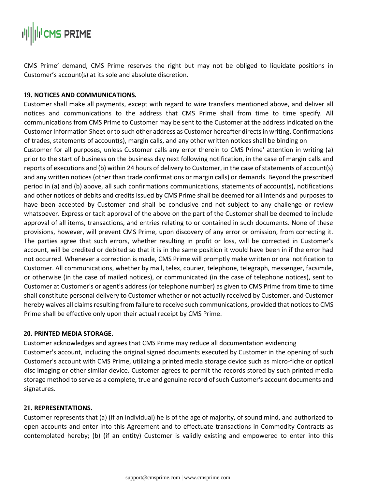CMS Prime' demand, CMS Prime reserves the right but may not be obliged to liquidate positions in Customer's account(s) at its sole and absolute discretion.

# **19. NOTICES AND COMMUNICATIONS.**

Customer shall make all payments, except with regard to wire transfers mentioned above, and deliver all notices and communications to the address that CMS Prime shall from time to time specify. All communications from CMS Prime to Customer may be sent to the Customer at the address indicated on the Customer Information Sheet or to such other address as Customer hereafter directs in writing. Confirmations of trades, statements of account(s), margin calls, and any other written notices shall be binding on

Customer for all purposes, unless Customer calls any error therein to CMS Prime' attention in writing (a) prior to the start of business on the business day next following notification, in the case of margin calls and reports of executions and (b) within 24 hours of delivery to Customer, in the case of statements of account(s) and any written notices (other than trade confirmations or margin calls) or demands. Beyond the prescribed period in (a) and (b) above, all such confirmations communications, statements of account(s), notifications and other notices of debits and credits issued by CMS Prime shall be deemed for all intends and purposes to have been accepted by Customer and shall be conclusive and not subject to any challenge or review whatsoever. Express or tacit approval of the above on the part of the Customer shall be deemed to include approval of all items, transactions, and entries relating to or contained in such documents. None of these provisions, however, will prevent CMS Prime, upon discovery of any error or omission, from correcting it. The parties agree that such errors, whether resulting in profit or loss, will be corrected in Customer's account, will be credited or debited so that it is in the same position it would have been in if the error had not occurred. Whenever a correction is made, CMS Prime will promptly make written or oral notification to Customer. All communications, whether by mail, telex, courier, telephone, telegraph, messenger, facsimile, or otherwise (in the case of mailed notices), or communicated (in the case of telephone notices), sent to Customer at Customer's or agent's address (or telephone number) as given to CMS Prime from time to time shall constitute personal delivery to Customer whether or not actually received by Customer, and Customer hereby waives all claims resulting from failure to receive such communications, provided that notices to CMS Prime shall be effective only upon their actual receipt by CMS Prime.

### **20. PRINTED MEDIA STORAGE.**

Customer acknowledges and agrees that CMS Prime may reduce all documentation evidencing Customer's account, including the original signed documents executed by Customer in the opening of such Customer's account with CMS Prime, utilizing a printed media storage device such as micro-fiche or optical disc imaging or other similar device. Customer agrees to permit the records stored by such printed media storage method to serve as a complete, true and genuine record of such Customer's account documents and signatures.

# **21. REPRESENTATIONS.**

Customer represents that (a) (if an individual) he is of the age of majority, of sound mind, and authorized to open accounts and enter into this Agreement and to effectuate transactions in Commodity Contracts as contemplated hereby; (b) (if an entity) Customer is validly existing and empowered to enter into this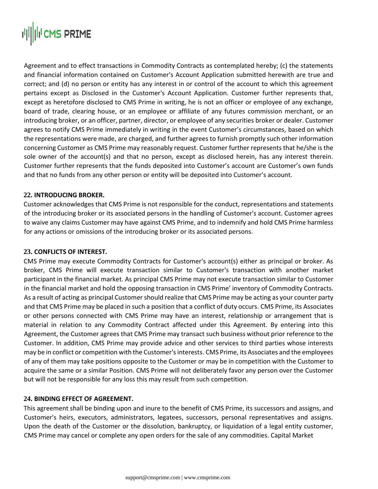Agreement and to effect transactions in Commodity Contracts as contemplated hereby; (c) the statements and financial information contained on Customer's Account Application submitted herewith are true and correct; and (d) no person or entity has any interest in or control of the account to which this agreement pertains except as Disclosed in the Customer's Account Application. Customer further represents that, except as heretofore disclosed to CMS Prime in writing, he is not an officer or employee of any exchange, board of trade, clearing house, or an employee or affiliate of any futures commission merchant, or an introducing broker, or an officer, partner, director, or employee of any securities broker or dealer. Customer agrees to notify CMS Prime immediately in writing in the event Customer's circumstances, based on which the representations were made, are charged, and further agrees to furnish promptly such other information concerning Customer as CMS Prime may reasonably request. Customer further represents that he/she is the sole owner of the account(s) and that no person, except as disclosed herein, has any interest therein. Customer further represents that the funds deposited into Customer's account are Customer's own funds and that no funds from any other person or entity will be deposited into Customer's account.

# **22. INTRODUCING BROKER.**

Customer acknowledges that CMS Prime is not responsible for the conduct, representations and statements of the introducing broker or its associated persons in the handling of Customer's account. Customer agrees to waive any claims Customer may have against CMS Prime, and to indemnify and hold CMS Prime harmless for any actions or omissions of the introducing broker or its associated persons.

### **23. CONFLICTS OF INTEREST.**

CMS Prime may execute Commodity Contracts for Customer's account(s) either as principal or broker. As broker, CMS Prime will execute transaction similar to Customer's transaction with another market participant in the financial market. As principal CMS Prime may not execute transaction similar to Customer in the financial market and hold the opposing transaction in CMS Prime' inventory of Commodity Contracts. As a result of acting as principal Customer should realize that CMS Prime may be acting as your counter party and that CMS Prime may be placed in such a position that a conflict of duty occurs. CMS Prime, its Associates or other persons connected with CMS Prime may have an interest, relationship or arrangement that is material in relation to any Commodity Contract affected under this Agreement. By entering into this Agreement, the Customer agrees that CMS Prime may transact such business without prior reference to the Customer. In addition, CMS Prime may provide advice and other services to third parties whose interests may be in conflict or competition with the Customer's interests. CMS Prime, its Associates and the employees of any of them may take positions opposite to the Customer or may be in competition with the Customer to acquire the same or a similar Position. CMS Prime will not deliberately favor any person over the Customer but will not be responsible for any loss this may result from such competition.

### **24. BINDING EFFECT OF AGREEMENT.**

This agreement shall be binding upon and inure to the benefit of CMS Prime, its successors and assigns, and Customer's heirs, executors, administrators, legatees, successors, personal representatives and assigns. Upon the death of the Customer or the dissolution, bankruptcy, or liquidation of a legal entity customer, CMS Prime may cancel or complete any open orders for the sale of any commodities. Capital Market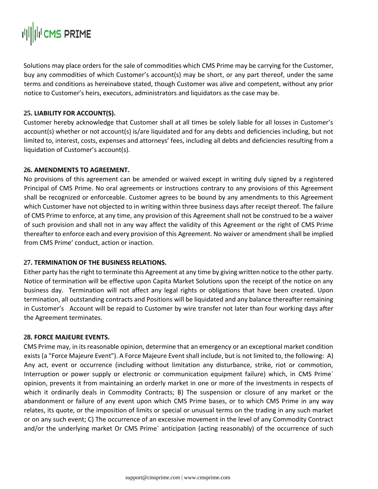Solutions may place orders for the sale of commodities which CMS Prime may be carrying for the Customer, buy any commodities of which Customer's account(s) may be short, or any part thereof, under the same terms and conditions as hereinabove stated, though Customer was alive and competent, without any prior notice to Customer's heirs, executors, administrators and liquidators as the case may be.

## **25. LIABILITY FOR ACCOUNT(S).**

Customer hereby acknowledge that Customer shall at all times be solely liable for all losses in Customer's account(s) whether or not account(s) is/are liquidated and for any debts and deficiencies including, but not limited to, interest, costs, expenses and attorneys' fees, including all debts and deficiencies resulting from a liquidation of Customer's account(s).

# **26. AMENDMENTS TO AGREEMENT.**

No provisions of this agreement can be amended or waived except in writing duly signed by a registered Principal of CMS Prime. No oral agreements or instructions contrary to any provisions of this Agreement shall be recognized or enforceable. Customer agrees to be bound by any amendments to this Agreement which Customer have not objected to in writing within three business days after receipt thereof. The failure of CMS Prime to enforce, at any time, any provision of this Agreement shall not be construed to be a waiver of such provision and shall not in any way affect the validity of this Agreement or the right of CMS Prime thereafter to enforce each and every provision of this Agreement. No waiver or amendment shall be implied from CMS Prime' conduct, action or inaction.

### **27. TERMINATION OF THE BUSINESS RELATIONS.**

Either party has the right to terminate this Agreement at any time by giving written notice to the other party. Notice of termination will be effective upon Capita Market Solutions upon the receipt of the notice on any business day. Termination will not affect any legal rights or obligations that have been created. Upon termination, all outstanding contracts and Positions will be liquidated and any balance thereafter remaining in Customer's Account will be repaid to Customer by wire transfer not later than four working days after the Agreement terminates.

### **28. FORCE MAJEURE EVENTS.**

CMS Prime may, in its reasonable opinion, determine that an emergency or an exceptional market condition exists (a "Force Majeure Event"). A Force Majeure Event shall include, but is not limited to, the following: A) Any act, event or occurrence (including without limitation any disturbance, strike, riot or commotion, Interruption or power supply or electronic or communication equipment failure) which, in CMS Prime´ opinion, prevents it from maintaining an orderly market in one or more of the investments in respects of which it ordinarily deals in Commodity Contracts; B) The suspension or closure of any market or the abandonment or failure of any event upon which CMS Prime bases, or to which CMS Prime in any way relates, its quote, or the imposition of limits or special or unusual terms on the trading in any such market or on any such event; C) The occurrence of an excessive movement in the level of any Commodity Contract and/or the underlying market Or CMS Prime´ anticipation (acting reasonably) of the occurrence of such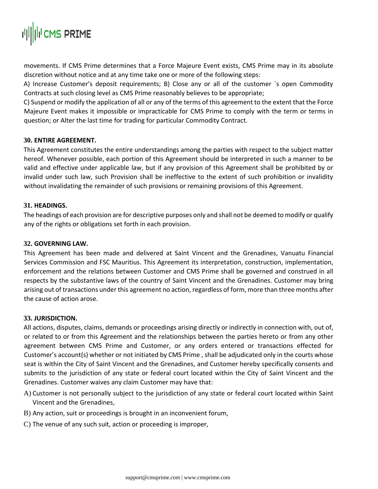

movements. If CMS Prime determines that a Force Majeure Event exists, CMS Prime may in its absolute discretion without notice and at any time take one or more of the following steps:

A) Increase Customer's deposit requirements; B) Close any or all of the customer ´s open Commodity Contracts at such closing level as CMS Prime reasonably believes to be appropriate;

C) Suspend or modify the application of all or any of the terms of this agreement to the extent that the Force Majeure Event makes it impossible or impracticable for CMS Prime to comply with the term or terms in question; or Alter the last time for trading for particular Commodity Contract.

#### **30. ENTIRE AGREEMENT.**

This Agreement constitutes the entire understandings among the parties with respect to the subject matter hereof. Whenever possible, each portion of this Agreement should be interpreted in such a manner to be valid and effective under applicable law, but if any provision of this Agreement shall be prohibited by or invalid under such law, such Provision shall be ineffective to the extent of such prohibition or invalidity without invalidating the remainder of such provisions or remaining provisions of this Agreement.

#### **31. HEADINGS.**

The headings of each provision are for descriptive purposes only and shall not be deemed to modify or qualify any of the rights or obligations set forth in each provision.

#### **32. GOVERNING LAW.**

This Agreement has been made and delivered at Saint Vincent and the Grenadines, Vanuatu Financial Services Commission and FSC Mauritius. This Agreement its interpretation, construction, implementation, enforcement and the relations between Customer and CMS Prime shall be governed and construed in all respects by the substantive laws of the country of Saint Vincent and the Grenadines. Customer may bring arising out of transactions under this agreement no action, regardless of form, more than three months after the cause of action arose.

#### **33. JURISDICTION.**

All actions, disputes, claims, demands or proceedings arising directly or indirectly in connection with, out of, or related to or from this Agreement and the relationships between the parties hereto or from any other agreement between CMS Prime and Customer, or any orders entered or transactions effected for Customer's account(s) whether or not initiated by CMS Prime , shall be adjudicated only in the courts whose seat is within the City of Saint Vincent and the Grenadines, and Customer hereby specifically consents and submits to the jurisdiction of any state or federal court located within the City of Saint Vincent and the Grenadines. Customer waives any claim Customer may have that:

- A) Customer is not personally subject to the jurisdiction of any state or federal court located within Saint Vincent and the Grenadines,
- B) Any action, suit or proceedings is brought in an inconvenient forum,
- C) The venue of any such suit, action or proceeding is improper,